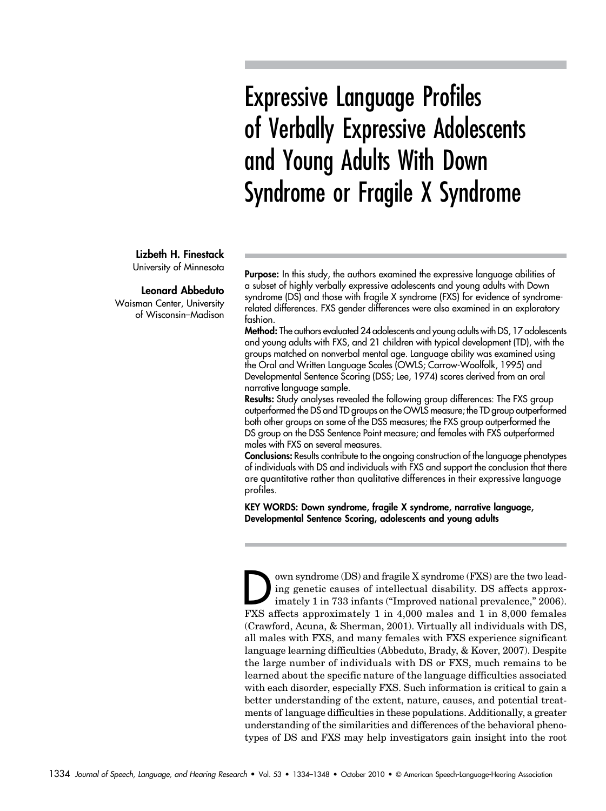Expressive Language Profiles of Verbally Expressive Adolescents and Young Adults With Down Syndrome or Fragile X Syndrome

Lizbeth H. Finestack University of Minnesota

#### Leonard Abbeduto

Waisman Center, University of Wisconsin–Madison

Purpose: In this study, the authors examined the expressive language abilities of a subset of highly verbally expressive adolescents and young adults with Down syndrome (DS) and those with fragile X syndrome (FXS) for evidence of syndromerelated differences. FXS gender differences were also examined in an exploratory fashion.

Method: The authors evaluated 24 adolescents and young adults with DS, 17 adolescents and young adults with FXS, and 21 children with typical development (TD), with the groups matched on nonverbal mental age. Language ability was examined using the Oral and Written Language Scales (OWLS; Carrow-Woolfolk, 1995) and Developmental Sentence Scoring (DSS; Lee, 1974) scores derived from an oral narrative language sample.

Results: Study analyses revealed the following group differences: The FXS group outperformed the DS and TD groups on the OWLS measure; the TD group outperformed both other groups on some of the DSS measures; the FXS group outperformed the DS group on the DSS Sentence Point measure; and females with FXS outperformed males with FXS on several measures.

Conclusions: Results contribute to the ongoing construction of the language phenotypes of individuals with DS and individuals with FXS and support the conclusion that there are quantitative rather than qualitative differences in their expressive language profiles.

KEY WORDS: Down syndrome, fragile X syndrome, narrative language, Developmental Sentence Scoring, adolescents and young adults

own syndrome (DS) and fragile X syndrome (FXS) are the two leading genetic causes of intellectual disability. DS affects approximately 1 in 733 infants ("Improved national prevalence," 2006). FXS affects approximately 1 in 4,000 males and 1 in 8,000 females (Crawford, Acuna, & Sherman, 2001). Virtually all individuals with DS, all males with FXS, and many females with FXS experience significant language learning difficulties (Abbeduto, Brady, & Kover, 2007). Despite the large number of individuals with DS or FXS, much remains to be learned about the specific nature of the language difficulties associated with each disorder, especially FXS. Such information is critical to gain a better understanding of the extent, nature, causes, and potential treatments of language difficulties in these populations. Additionally, a greater understanding of the similarities and differences of the behavioral phenotypes of DS and FXS may help investigators gain insight into the root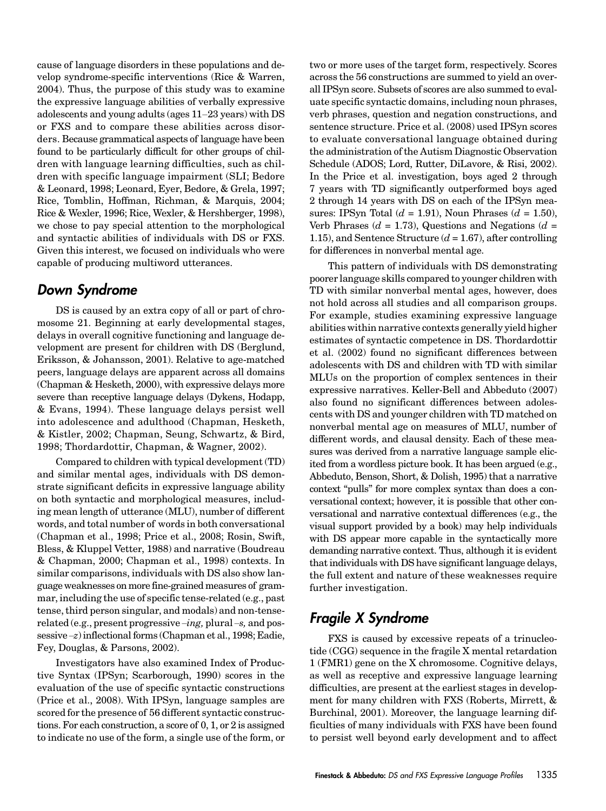cause of language disorders in these populations and develop syndrome-specific interventions (Rice & Warren, 2004). Thus, the purpose of this study was to examine the expressive language abilities of verbally expressive adolescents and young adults (ages 11–23 years) with DS or FXS and to compare these abilities across disorders. Because grammatical aspects of language have been found to be particularly difficult for other groups of children with language learning difficulties, such as children with specific language impairment (SLI; Bedore & Leonard, 1998; Leonard, Eyer, Bedore, & Grela, 1997; Rice, Tomblin, Hoffman, Richman, & Marquis, 2004; Rice & Wexler, 1996; Rice, Wexler, & Hershberger, 1998), we chose to pay special attention to the morphological and syntactic abilities of individuals with DS or FXS. Given this interest, we focused on individuals who were capable of producing multiword utterances.

# Down Syndrome

DS is caused by an extra copy of all or part of chromosome 21. Beginning at early developmental stages, delays in overall cognitive functioning and language development are present for children with DS (Berglund, Eriksson, & Johansson, 2001). Relative to age-matched peers, language delays are apparent across all domains (Chapman & Hesketh, 2000), with expressive delays more severe than receptive language delays (Dykens, Hodapp, & Evans, 1994). These language delays persist well into adolescence and adulthood (Chapman, Hesketh, & Kistler, 2002; Chapman, Seung, Schwartz, & Bird, 1998; Thordardottir, Chapman, & Wagner, 2002).

Compared to children with typical development (TD) and similar mental ages, individuals with DS demonstrate significant deficits in expressive language ability on both syntactic and morphological measures, including mean length of utterance (MLU), number of different words, and total number of words in both conversational (Chapman et al., 1998; Price et al., 2008; Rosin, Swift, Bless, & Kluppel Vetter, 1988) and narrative (Boudreau & Chapman, 2000; Chapman et al., 1998) contexts. In similar comparisons, individuals with DS also show language weaknesses on more fine-grained measures of grammar, including the use of specific tense-related (e.g., past tense, third person singular, and modals) and non-tenserelated (e.g., present progressive  $-ing$ , plural  $-s$ , and possessive  $-z$ ) inflectional forms (Chapman et al., 1998; Eadie, Fey, Douglas, & Parsons, 2002).

Investigators have also examined Index of Productive Syntax (IPSyn; Scarborough, 1990) scores in the evaluation of the use of specific syntactic constructions (Price et al., 2008). With IPSyn, language samples are scored for the presence of 56 different syntactic constructions. For each construction, a score of 0, 1, or 2 is assigned to indicate no use of the form, a single use of the form, or two or more uses of the target form, respectively. Scores across the 56 constructions are summed to yield an overall IPSyn score. Subsets of scores are also summed to evaluate specific syntactic domains, including noun phrases, verb phrases, question and negation constructions, and sentence structure. Price et al. (2008) used IPSyn scores to evaluate conversational language obtained during the administration of the Autism Diagnostic Observation Schedule (ADOS; Lord, Rutter, DiLavore, & Risi, 2002). In the Price et al. investigation, boys aged 2 through 7 years with TD significantly outperformed boys aged 2 through 14 years with DS on each of the IPSyn measures: IPSyn Total ( $d = 1.91$ ), Noun Phrases ( $d = 1.50$ ), Verb Phrases ( $d = 1.73$ ), Questions and Negations ( $d =$ 1.15), and Sentence Structure  $(d = 1.67)$ , after controlling for differences in nonverbal mental age.

This pattern of individuals with DS demonstrating poorer language skills compared to younger children with TD with similar nonverbal mental ages, however, does not hold across all studies and all comparison groups. For example, studies examining expressive language abilities within narrative contexts generally yield higher estimates of syntactic competence in DS. Thordardottir et al. (2002) found no significant differences between adolescents with DS and children with TD with similar MLUs on the proportion of complex sentences in their expressive narratives. Keller-Bell and Abbeduto (2007) also found no significant differences between adolescents with DS and younger children with TD matched on nonverbal mental age on measures of MLU, number of different words, and clausal density. Each of these measures was derived from a narrative language sample elicited from a wordless picture book. It has been argued (e.g., Abbeduto, Benson, Short, & Dolish, 1995) that a narrative context "pulls" for more complex syntax than does a conversational context; however, it is possible that other conversational and narrative contextual differences (e.g., the visual support provided by a book) may help individuals with DS appear more capable in the syntactically more demanding narrative context. Thus, although it is evident that individuals with DS have significant language delays, the full extent and nature of these weaknesses require further investigation.

# Fragile X Syndrome

FXS is caused by excessive repeats of a trinucleotide (CGG) sequence in the fragile X mental retardation 1 (FMR1) gene on the X chromosome. Cognitive delays, as well as receptive and expressive language learning difficulties, are present at the earliest stages in development for many children with FXS (Roberts, Mirrett, & Burchinal, 2001). Moreover, the language learning difficulties of many individuals with FXS have been found to persist well beyond early development and to affect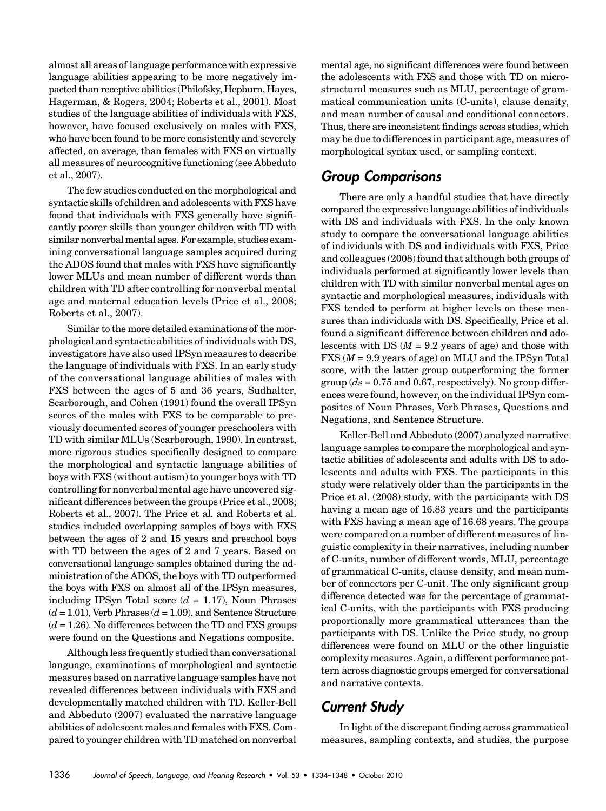almost all areas of language performance with expressive language abilities appearing to be more negatively impacted than receptive abilities (Philofsky, Hepburn, Hayes, Hagerman, & Rogers, 2004; Roberts et al., 2001). Most studies of the language abilities of individuals with FXS, however, have focused exclusively on males with FXS, who have been found to be more consistently and severely affected, on average, than females with FXS on virtually all measures of neurocognitive functioning (see Abbeduto et al., 2007).

The few studies conducted on the morphological and syntactic skills of children and adolescents with FXS have found that individuals with FXS generally have significantly poorer skills than younger children with TD with similar nonverbal mental ages. For example, studies examining conversational language samples acquired during the ADOS found that males with FXS have significantly lower MLUs and mean number of different words than children with TD after controlling for nonverbal mental age and maternal education levels (Price et al., 2008; Roberts et al., 2007).

Similar to the more detailed examinations of the morphological and syntactic abilities of individuals with DS, investigators have also used IPSyn measures to describe the language of individuals with FXS. In an early study of the conversational language abilities of males with FXS between the ages of 5 and 36 years, Sudhalter, Scarborough, and Cohen (1991) found the overall IPSyn scores of the males with FXS to be comparable to previously documented scores of younger preschoolers with TD with similar MLUs (Scarborough, 1990). In contrast, more rigorous studies specifically designed to compare the morphological and syntactic language abilities of boys with FXS (without autism) to younger boys with TD controlling for nonverbal mental age have uncovered significant differences between the groups (Price et al., 2008; Roberts et al., 2007). The Price et al. and Roberts et al. studies included overlapping samples of boys with FXS between the ages of 2 and 15 years and preschool boys with TD between the ages of 2 and 7 years. Based on conversational language samples obtained during the administration of the ADOS, the boys with TD outperformed the boys with FXS on almost all of the IPSyn measures, including IPSyn Total score  $(d = 1.17)$ , Noun Phrases  $(d = 1.01)$ , Verb Phrases  $(d = 1.09)$ , and Sentence Structure  $(d = 1.26)$ . No differences between the TD and FXS groups were found on the Questions and Negations composite.

Although less frequently studied than conversational language, examinations of morphological and syntactic measures based on narrative language samples have not revealed differences between individuals with FXS and developmentally matched children with TD. Keller-Bell and Abbeduto (2007) evaluated the narrative language abilities of adolescent males and females with FXS. Compared to younger children with TD matched on nonverbal mental age, no significant differences were found between the adolescents with FXS and those with TD on microstructural measures such as MLU, percentage of grammatical communication units (C-units), clause density, and mean number of causal and conditional connectors. Thus, there are inconsistent findings across studies, which may be due to differences in participant age, measures of morphological syntax used, or sampling context.

# Group Comparisons

There are only a handful studies that have directly compared the expressive language abilities of individuals with DS and individuals with FXS. In the only known study to compare the conversational language abilities of individuals with DS and individuals with FXS, Price and colleagues (2008) found that although both groups of individuals performed at significantly lower levels than children with TD with similar nonverbal mental ages on syntactic and morphological measures, individuals with FXS tended to perform at higher levels on these measures than individuals with DS. Specifically, Price et al. found a significant difference between children and adolescents with DS  $(M = 9.2$  years of age) and those with  $FXS(M = 9.9 \text{ years of age})$  on MLU and the IPSyn Total score, with the latter group outperforming the former group  $(ds = 0.75$  and 0.67, respectively). No group differences were found, however, on the individual IPSyn composites of Noun Phrases, Verb Phrases, Questions and Negations, and Sentence Structure.

Keller-Bell and Abbeduto (2007) analyzed narrative language samples to compare the morphological and syntactic abilities of adolescents and adults with DS to adolescents and adults with FXS. The participants in this study were relatively older than the participants in the Price et al. (2008) study, with the participants with DS having a mean age of 16.83 years and the participants with FXS having a mean age of 16.68 years. The groups were compared on a number of different measures of linguistic complexity in their narratives, including number of C-units, number of different words, MLU, percentage of grammatical C-units, clause density, and mean number of connectors per C-unit. The only significant group difference detected was for the percentage of grammatical C-units, with the participants with FXS producing proportionally more grammatical utterances than the participants with DS. Unlike the Price study, no group differences were found on MLU or the other linguistic complexity measures. Again, a different performance pattern across diagnostic groups emerged for conversational and narrative contexts.

# Current Study

In light of the discrepant finding across grammatical measures, sampling contexts, and studies, the purpose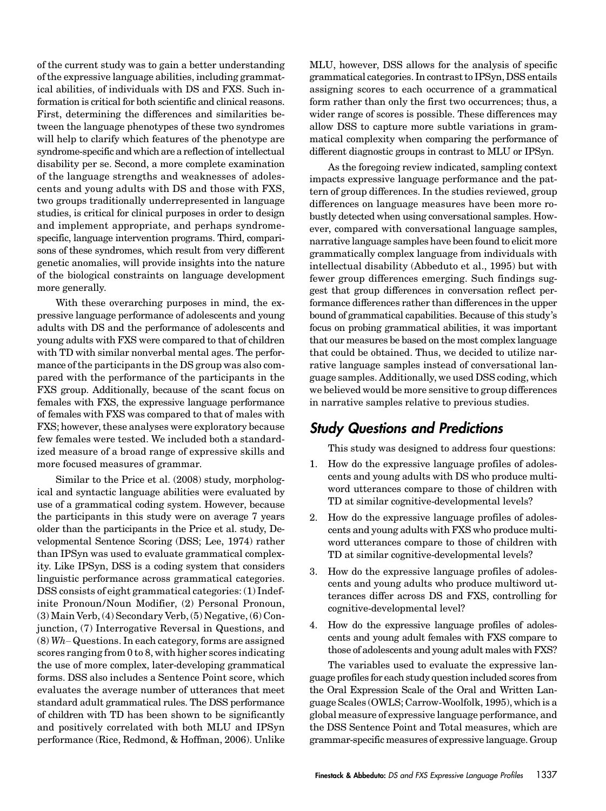of the current study was to gain a better understanding of the expressive language abilities, including grammatical abilities, of individuals with DS and FXS. Such information is critical for both scientific and clinical reasons. First, determining the differences and similarities between the language phenotypes of these two syndromes will help to clarify which features of the phenotype are syndrome-specific and which are a reflection of intellectual disability per se. Second, a more complete examination of the language strengths and weaknesses of adolescents and young adults with DS and those with FXS, two groups traditionally underrepresented in language studies, is critical for clinical purposes in order to design and implement appropriate, and perhaps syndromespecific, language intervention programs. Third, comparisons of these syndromes, which result from very different genetic anomalies, will provide insights into the nature of the biological constraints on language development more generally.

With these overarching purposes in mind, the expressive language performance of adolescents and young adults with DS and the performance of adolescents and young adults with FXS were compared to that of children with TD with similar nonverbal mental ages. The performance of the participants in the DS group was also compared with the performance of the participants in the FXS group. Additionally, because of the scant focus on females with FXS, the expressive language performance of females with FXS was compared to that of males with FXS; however, these analyses were exploratory because few females were tested. We included both a standardized measure of a broad range of expressive skills and more focused measures of grammar.

Similar to the Price et al. (2008) study, morphological and syntactic language abilities were evaluated by use of a grammatical coding system. However, because the participants in this study were on average 7 years older than the participants in the Price et al. study, Developmental Sentence Scoring (DSS; Lee, 1974) rather than IPSyn was used to evaluate grammatical complexity. Like IPSyn, DSS is a coding system that considers linguistic performance across grammatical categories. DSS consists of eight grammatical categories: (1) Indefinite Pronoun/Noun Modifier, (2) Personal Pronoun, (3) Main Verb, (4) Secondary Verb, (5) Negative, (6) Conjunction, (7) Interrogative Reversal in Questions, and (8) Wh– Questions. In each category, forms are assigned scores ranging from 0 to 8, with higher scores indicating the use of more complex, later-developing grammatical forms. DSS also includes a Sentence Point score, which evaluates the average number of utterances that meet standard adult grammatical rules. The DSS performance of children with TD has been shown to be significantly and positively correlated with both MLU and IPSyn performance (Rice, Redmond, & Hoffman, 2006). Unlike MLU, however, DSS allows for the analysis of specific grammatical categories. In contrast to IPSyn, DSS entails assigning scores to each occurrence of a grammatical form rather than only the first two occurrences; thus, a wider range of scores is possible. These differences may allow DSS to capture more subtle variations in grammatical complexity when comparing the performance of different diagnostic groups in contrast to MLU or IPSyn.

As the foregoing review indicated, sampling context impacts expressive language performance and the pattern of group differences. In the studies reviewed, group differences on language measures have been more robustly detected when using conversational samples. However, compared with conversational language samples, narrative language samples have been found to elicit more grammatically complex language from individuals with intellectual disability (Abbeduto et al., 1995) but with fewer group differences emerging. Such findings suggest that group differences in conversation reflect performance differences rather than differences in the upper bound of grammatical capabilities. Because of this study's focus on probing grammatical abilities, it was important that our measures be based on the most complex language that could be obtained. Thus, we decided to utilize narrative language samples instead of conversational language samples. Additionally, we used DSS coding, which we believed would be more sensitive to group differences in narrative samples relative to previous studies.

# Study Questions and Predictions

This study was designed to address four questions:

- 1. How do the expressive language profiles of adolescents and young adults with DS who produce multiword utterances compare to those of children with TD at similar cognitive-developmental levels?
- 2. How do the expressive language profiles of adolescents and young adults with FXS who produce multiword utterances compare to those of children with TD at similar cognitive-developmental levels?
- 3. How do the expressive language profiles of adolescents and young adults who produce multiword utterances differ across DS and FXS, controlling for cognitive-developmental level?
- 4. How do the expressive language profiles of adolescents and young adult females with FXS compare to those of adolescents and young adult males with FXS?

The variables used to evaluate the expressive language profiles for each study question included scores from the Oral Expression Scale of the Oral and Written Language Scales (OWLS; Carrow-Woolfolk, 1995), which is a global measure of expressive language performance, and the DSS Sentence Point and Total measures, which are grammar-specific measures of expressive language. Group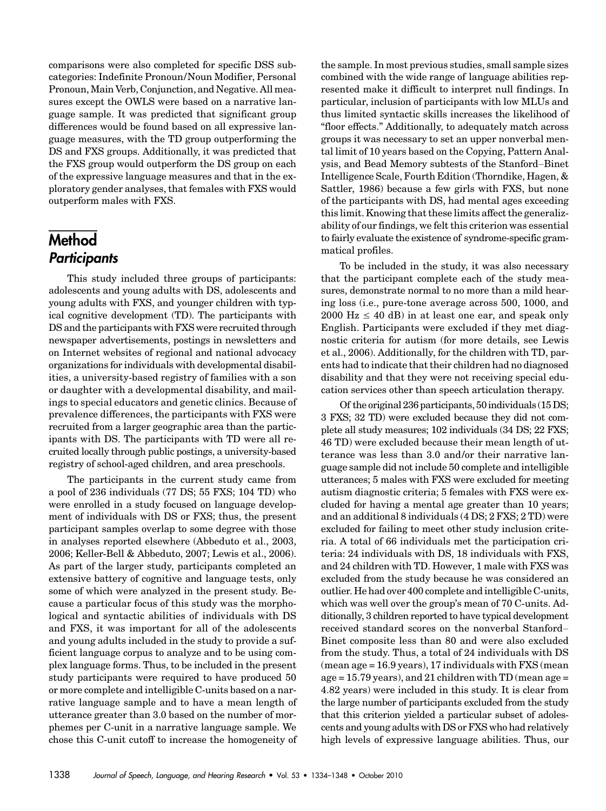comparisons were also completed for specific DSS subcategories: Indefinite Pronoun/Noun Modifier, Personal Pronoun, Main Verb, Conjunction, and Negative. All measures except the OWLS were based on a narrative language sample. It was predicted that significant group differences would be found based on all expressive language measures, with the TD group outperforming the DS and FXS groups. Additionally, it was predicted that the FXS group would outperform the DS group on each of the expressive language measures and that in the exploratory gender analyses, that females with FXS would outperform males with FXS.

# **Method Participants**

This study included three groups of participants: adolescents and young adults with DS, adolescents and young adults with FXS, and younger children with typical cognitive development (TD). The participants with DS and the participants with FXS were recruited through newspaper advertisements, postings in newsletters and on Internet websites of regional and national advocacy organizations for individuals with developmental disabilities, a university-based registry of families with a son or daughter with a developmental disability, and mailings to special educators and genetic clinics. Because of prevalence differences, the participants with FXS were recruited from a larger geographic area than the participants with DS. The participants with TD were all recruited locally through public postings, a university-based registry of school-aged children, and area preschools.

The participants in the current study came from a pool of 236 individuals (77 DS; 55 FXS; 104 TD) who were enrolled in a study focused on language development of individuals with DS or FXS; thus, the present participant samples overlap to some degree with those in analyses reported elsewhere (Abbeduto et al., 2003, 2006; Keller-Bell & Abbeduto, 2007; Lewis et al., 2006). As part of the larger study, participants completed an extensive battery of cognitive and language tests, only some of which were analyzed in the present study. Because a particular focus of this study was the morphological and syntactic abilities of individuals with DS and FXS, it was important for all of the adolescents and young adults included in the study to provide a sufficient language corpus to analyze and to be using complex language forms. Thus, to be included in the present study participants were required to have produced 50 or more complete and intelligible C-units based on a narrative language sample and to have a mean length of utterance greater than 3.0 based on the number of morphemes per C-unit in a narrative language sample. We chose this C-unit cutoff to increase the homogeneity of the sample. In most previous studies, small sample sizes combined with the wide range of language abilities represented make it difficult to interpret null findings. In particular, inclusion of participants with low MLUs and thus limited syntactic skills increases the likelihood of "floor effects." Additionally, to adequately match across groups it was necessary to set an upper nonverbal mental limit of 10 years based on the Copying, Pattern Analysis, and Bead Memory subtests of the Stanford–Binet Intelligence Scale, Fourth Edition (Thorndike, Hagen, & Sattler, 1986) because a few girls with FXS, but none of the participants with DS, had mental ages exceeding this limit. Knowing that these limits affect the generalizability of our findings, we felt this criterion was essential to fairly evaluate the existence of syndrome-specific grammatical profiles.

To be included in the study, it was also necessary that the participant complete each of the study measures, demonstrate normal to no more than a mild hearing loss (i.e., pure-tone average across 500, 1000, and  $2000$  Hz  $\leq 40$  dB) in at least one ear, and speak only English. Participants were excluded if they met diagnostic criteria for autism (for more details, see Lewis et al., 2006). Additionally, for the children with TD, parents had to indicate that their children had no diagnosed disability and that they were not receiving special education services other than speech articulation therapy.

Of the original 236 participants, 50 individuals (15 DS; 3 FXS; 32 TD) were excluded because they did not complete all study measures; 102 individuals (34 DS; 22 FXS; 46 TD) were excluded because their mean length of utterance was less than 3.0 and/or their narrative language sample did not include 50 complete and intelligible utterances; 5 males with FXS were excluded for meeting autism diagnostic criteria; 5 females with FXS were excluded for having a mental age greater than 10 years; and an additional 8 individuals (4 DS; 2 FXS; 2 TD) were excluded for failing to meet other study inclusion criteria. A total of 66 individuals met the participation criteria: 24 individuals with DS, 18 individuals with FXS, and 24 children with TD. However, 1 male with FXS was excluded from the study because he was considered an outlier. He had over 400 complete and intelligible C-units, which was well over the group's mean of 70 C-units. Additionally, 3 children reported to have typical development received standard scores on the nonverbal Stanford– Binet composite less than 80 and were also excluded from the study. Thus, a total of 24 individuals with DS (mean age = 16.9 years), 17 individuals with FXS (mean  $age = 15.79 \, years$ , and 21 children with TD (mean age = 4.82 years) were included in this study. It is clear from the large number of participants excluded from the study that this criterion yielded a particular subset of adolescents and young adults with DS or FXS who had relatively high levels of expressive language abilities. Thus, our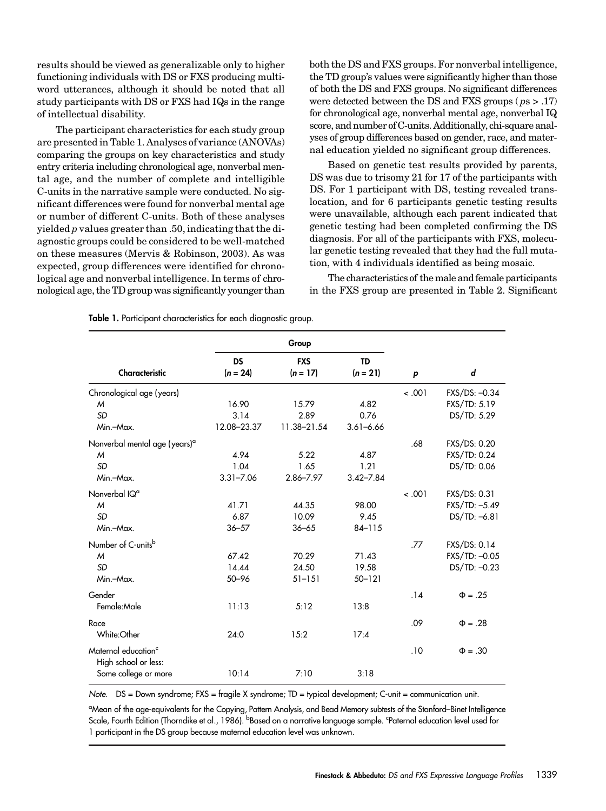results should be viewed as generalizable only to higher functioning individuals with DS or FXS producing multiword utterances, although it should be noted that all study participants with DS or FXS had IQs in the range of intellectual disability.

The participant characteristics for each study group are presented in Table 1. Analyses of variance (ANOVAs) comparing the groups on key characteristics and study entry criteria including chronological age, nonverbal mental age, and the number of complete and intelligible C-units in the narrative sample were conducted. No significant differences were found for nonverbal mental age or number of different C-units. Both of these analyses yielded  $p$  values greater than .50, indicating that the diagnostic groups could be considered to be well-matched on these measures (Mervis & Robinson, 2003). As was expected, group differences were identified for chronological age and nonverbal intelligence. In terms of chronological age, the TD group was significantly younger than

both the DS and FXS groups. For nonverbal intelligence, the TD group's values were significantly higher than those of both the DS and FXS groups. No significant differences were detected between the DS and FXS groups ( $ps > .17$ ) for chronological age, nonverbal mental age, nonverbal IQ score, and number of C-units. Additionally, chi-square analyses of group differences based on gender, race, and maternal education yielded no significant group differences.

Based on genetic test results provided by parents, DS was due to trisomy 21 for 17 of the participants with DS. For 1 participant with DS, testing revealed translocation, and for 6 participants genetic testing results were unavailable, although each parent indicated that genetic testing had been completed confirming the DS diagnosis. For all of the participants with FXS, molecular genetic testing revealed that they had the full mutation, with 4 individuals identified as being mosaic.

The characteristics of themale and female participants in the FXS group are presented in Table 2. Significant

|                                                         | Group         |               |               |        |                 |  |
|---------------------------------------------------------|---------------|---------------|---------------|--------|-----------------|--|
|                                                         | <b>DS</b>     | <b>FXS</b>    | <b>TD</b>     |        |                 |  |
| <b>Characteristic</b>                                   | $(n = 24)$    | $(n = 17)$    | $(n = 21)$    | p      | d               |  |
| Chronological age (years)                               |               |               |               | < .001 | $FXS/DS: -0.34$ |  |
| M                                                       | 16.90         | 15.79         | 4.82          |        | FXS/TD: 5.19    |  |
| <b>SD</b>                                               | 3.14          | 2.89          | 0.76          |        | DS/TD: 5.29     |  |
| Min.-Max.                                               | 12.08-23.37   | 11.38-21.54   | $3.61 - 6.66$ |        |                 |  |
| Nonverbal mental age (years) <sup>a</sup>               |               |               |               | .68    | FXS/DS: 0.20    |  |
| M                                                       | 4.94          | 5.22          | 4.87          |        | FXS/TD: 0.24    |  |
| <b>SD</b>                                               | 1.04          | 1.65          | 1.21          |        | DS/TD: 0.06     |  |
| Min.-Max.                                               | $3.31 - 7.06$ | $2.86 - 7.97$ | $3.42 - 7.84$ |        |                 |  |
| Nonverbal IQ <sup>a</sup>                               |               |               |               | < .001 | FXS/DS: 0.31    |  |
| M                                                       | 41.71         | 44.35         | 98.00         |        | FXS/TD: -5.49   |  |
| <b>SD</b>                                               | 6.87          | 10.09         | 9.45          |        | $DS/TD: -6.81$  |  |
| Min.-Max.                                               | $36 - 57$     | $36 - 65$     | $84 - 115$    |        |                 |  |
| Number of C-units <sup>b</sup>                          |               |               |               | .77    | FXS/DS: 0.14    |  |
| M                                                       | 67.42         | 70.29         | 71.43         |        | $FXS/TD: -0.05$ |  |
| <b>SD</b>                                               | 14.44         | 24.50         | 19.58         |        | $DS/TD: -0.23$  |  |
| Min.-Max.                                               | $50 - 96$     | $51 - 151$    | $50 - 121$    |        |                 |  |
| Gender                                                  |               |               |               | .14    | $\Phi = .25$    |  |
| Female:Male                                             | 11:13         | 5:12          | 13:8          |        |                 |  |
| Race                                                    |               |               |               | .09    | $\Phi = .28$    |  |
| White:Other                                             | 24:0          | 15:2          | 17:4          |        |                 |  |
| Maternal education <sup>c</sup><br>High school or less: |               |               |               | .10    | $\Phi = .30$    |  |
| Some college or more                                    | 10:14         | 7:10          | 3:18          |        |                 |  |

Table 1. Participant characteristics for each diagnostic group.

Note. DS = Down syndrome; FXS = fragile X syndrome; TD = typical development; C-unit = communication unit.

a Mean of the age-equivalents for the Copying, Pattern Analysis, and Bead Memory subtests of the Stanford–Binet Intelligence Scale, Fourth Edition (Thorndike et al., 1986). <sup>b</sup>Based on a narrative language sample. <sup>c</sup>Paternal education level used for 1 participant in the DS group because maternal education level was unknown.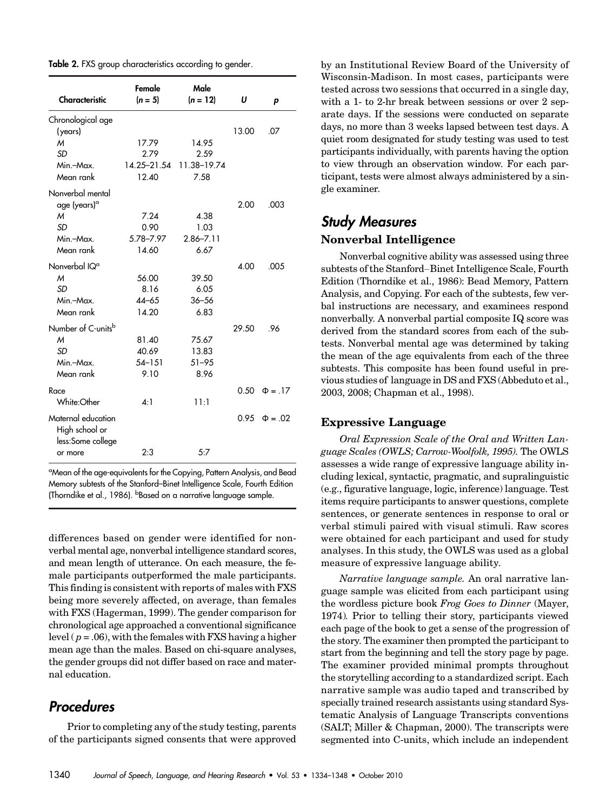|  |  | <b>Table 2.</b> FXS group characteristics according to gender. |  |  |
|--|--|----------------------------------------------------------------|--|--|
|  |  |                                                                |  |  |

| Characteristic                                            | Female<br>$(n = 5)$ | Male<br>$(n = 12)$ | U     | р            |
|-----------------------------------------------------------|---------------------|--------------------|-------|--------------|
| Chronological age                                         |                     |                    |       |              |
| (years)                                                   |                     |                    | 13.00 | .07          |
| M                                                         | 17.79               | 14.95              |       |              |
| SD.                                                       | 2.79                | 2.59               |       |              |
| Min.-Max.                                                 | 14.25-21.54         | 11.38-19.74        |       |              |
| Mean rank                                                 | 12.40               | 7.58               |       |              |
| Nonverbal mental                                          |                     |                    |       |              |
| age (years) <sup>a</sup>                                  |                     |                    | 2.00  | .003         |
| M                                                         | 7.24                | 4.38               |       |              |
| <b>SD</b>                                                 | 0.90                | 1.03               |       |              |
| Min.-Max.                                                 | 5.78-7.97           | $2.86 - 7.11$      |       |              |
| Mean rank                                                 | 14.60               | 6.67               |       |              |
| Nonverbal IQ <sup>a</sup>                                 |                     |                    | 4.00  | .005         |
| м                                                         | 56.00               | 39.50              |       |              |
| <b>SD</b>                                                 | 8.16                | 6.05               |       |              |
| Min.-Max.                                                 | $44 - 65$           | $36 - 56$          |       |              |
| Mean rank                                                 | 14.20               | 6.83               |       |              |
| Number of C-units <sup>b</sup>                            |                     |                    | 29.50 | .96          |
| м                                                         | 81.40               | 75.67              |       |              |
| <b>SD</b>                                                 | 40.69               | 13.83              |       |              |
| Min.-Max.                                                 | $54 - 151$          | $51 - 95$          |       |              |
| Mean rank                                                 | 9.10                | 8.96               |       |              |
| Race                                                      |                     |                    | 0.50  | $\Phi = .17$ |
| White:Other                                               | 4:1                 | 11:1               |       |              |
| Maternal education<br>High school or<br>less:Some college |                     |                    | 0.95  | $\Phi = .02$ |
| or more                                                   | 2:3                 | 5:7                |       |              |

<sup>a</sup>Mean of the age-equivalents for the Copying, Pattern Analysis, and Bead Memory subtests of the Stanford–Binet Intelligence Scale, Fourth Edition (Thorndike et al., 1986). <sup>b</sup>Based on a narrative language sample.

differences based on gender were identified for nonverbal mental age, nonverbal intelligence standard scores, and mean length of utterance. On each measure, the female participants outperformed the male participants. This finding is consistent with reports of males with FXS being more severely affected, on average, than females with FXS (Hagerman, 1999). The gender comparison for chronological age approached a conventional significance level ( $p = .06$ ), with the females with FXS having a higher mean age than the males. Based on chi-square analyses, the gender groups did not differ based on race and maternal education.

### **Procedures**

Prior to completing any of the study testing, parents of the participants signed consents that were approved by an Institutional Review Board of the University of Wisconsin-Madison. In most cases, participants were tested across two sessions that occurred in a single day, with a 1- to 2-hr break between sessions or over 2 separate days. If the sessions were conducted on separate days, no more than 3 weeks lapsed between test days. A quiet room designated for study testing was used to test participants individually, with parents having the option to view through an observation window. For each participant, tests were almost always administered by a single examiner.

## Study Measures Nonverbal Intelligence

Nonverbal cognitive ability was assessed using three subtests of the Stanford–Binet Intelligence Scale, Fourth Edition (Thorndike et al., 1986): Bead Memory, Pattern Analysis, and Copying. For each of the subtests, few verbal instructions are necessary, and examinees respond nonverbally. A nonverbal partial composite IQ score was derived from the standard scores from each of the subtests. Nonverbal mental age was determined by taking the mean of the age equivalents from each of the three subtests. This composite has been found useful in previous studies of language in DS and FXS (Abbeduto et al., 2003, 2008; Chapman et al., 1998).

#### Expressive Language

Oral Expression Scale of the Oral and Written Language Scales (OWLS; Carrow-Woolfolk, 1995). The OWLS assesses a wide range of expressive language ability including lexical, syntactic, pragmatic, and supralinguistic (e.g., figurative language, logic, inference) language. Test items require participants to answer questions, complete sentences, or generate sentences in response to oral or verbal stimuli paired with visual stimuli. Raw scores were obtained for each participant and used for study analyses. In this study, the OWLS was used as a global measure of expressive language ability.

Narrative language sample. An oral narrative language sample was elicited from each participant using the wordless picture book Frog Goes to Dinner (Mayer, 1974). Prior to telling their story, participants viewed each page of the book to get a sense of the progression of the story. The examiner then prompted the participant to start from the beginning and tell the story page by page. The examiner provided minimal prompts throughout the storytelling according to a standardized script. Each narrative sample was audio taped and transcribed by specially trained research assistants using standard Systematic Analysis of Language Transcripts conventions (SALT; Miller & Chapman, 2000). The transcripts were segmented into C-units, which include an independent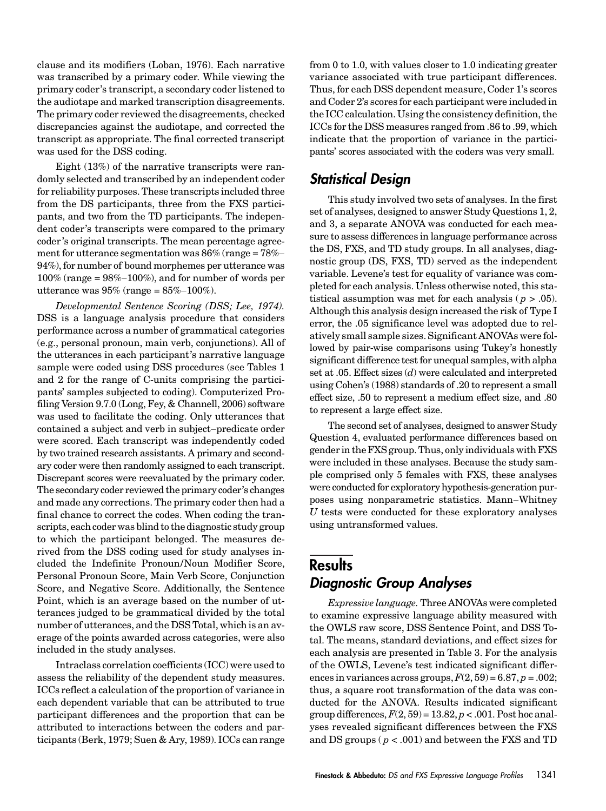clause and its modifiers (Loban, 1976). Each narrative was transcribed by a primary coder. While viewing the primary coder's transcript, a secondary coder listened to the audiotape and marked transcription disagreements. The primary coder reviewed the disagreements, checked discrepancies against the audiotape, and corrected the transcript as appropriate. The final corrected transcript was used for the DSS coding.

Eight (13%) of the narrative transcripts were randomly selected and transcribed by an independent coder for reliability purposes. These transcripts included three from the DS participants, three from the FXS participants, and two from the TD participants. The independent coder's transcripts were compared to the primary coder 's original transcripts. The mean percentage agreement for utterance segmentation was 86% (range = 78%– 94%), for number of bound morphemes per utterance was  $100\%$  (range =  $98\%$ - $100\%$ ), and for number of words per utterance was  $95\%$  (range =  $85\% - 100\%$ ).

Developmental Sentence Scoring (DSS; Lee, 1974). DSS is a language analysis procedure that considers performance across a number of grammatical categories (e.g., personal pronoun, main verb, conjunctions). All of the utterances in each participant's narrative language sample were coded using DSS procedures (see Tables 1 and 2 for the range of C-units comprising the participants' samples subjected to coding). Computerized Profiling Version 9.7.0 (Long, Fey, & Channell, 2006) software was used to facilitate the coding. Only utterances that contained a subject and verb in subject–predicate order were scored. Each transcript was independently coded by two trained research assistants. A primary and secondary coder were then randomly assigned to each transcript. Discrepant scores were reevaluated by the primary coder. The secondary coder reviewed the primary coder's changes and made any corrections. The primary coder then had a final chance to correct the codes. When coding the transcripts, each coder was blind to the diagnostic study group to which the participant belonged. The measures derived from the DSS coding used for study analyses included the Indefinite Pronoun/Noun Modifier Score, Personal Pronoun Score, Main Verb Score, Conjunction Score, and Negative Score. Additionally, the Sentence Point, which is an average based on the number of utterances judged to be grammatical divided by the total number of utterances, and the DSS Total, which is an average of the points awarded across categories, were also included in the study analyses.

Intraclass correlation coefficients (ICC) were used to assess the reliability of the dependent study measures. ICCs reflect a calculation of the proportion of variance in each dependent variable that can be attributed to true participant differences and the proportion that can be attributed to interactions between the coders and participants (Berk, 1979; Suen & Ary, 1989). ICCs can range from 0 to 1.0, with values closer to 1.0 indicating greater variance associated with true participant differences. Thus, for each DSS dependent measure, Coder 1's scores and Coder 2's scores for each participant were included in the ICC calculation. Using the consistency definition, the ICCs for the DSS measures ranged from .86 to .99, which indicate that the proportion of variance in the participants' scores associated with the coders was very small.

### Statistical Design

This study involved two sets of analyses. In the first set of analyses, designed to answer Study Questions 1, 2, and 3, a separate ANOVA was conducted for each measure to assess differences in language performance across the DS, FXS, and TD study groups. In all analyses, diagnostic group (DS, FXS, TD) served as the independent variable. Levene's test for equality of variance was completed for each analysis. Unless otherwise noted, this statistical assumption was met for each analysis ( $p > .05$ ). Although this analysis design increased the risk of Type I error, the .05 significance level was adopted due to relatively small sample sizes. Significant ANOVAs were followed by pair-wise comparisons using Tukey's honestly significant difference test for unequal samples, with alpha set at .05. Effect sizes (d) were calculated and interpreted using Cohen's (1988) standards of .20 to represent a small effect size, .50 to represent a medium effect size, and .80 to represent a large effect size.

The second set of analyses, designed to answer Study Question 4, evaluated performance differences based on gender in the FXS group. Thus, only individuals with FXS were included in these analyses. Because the study sample comprised only 5 females with FXS, these analyses were conducted for exploratory hypothesis-generation purposes using nonparametric statistics. Mann–Whitney U tests were conducted for these exploratory analyses using untransformed values.

# **Results** Diagnostic Group Analyses

Expressive language. Three ANOVAs were completed to examine expressive language ability measured with the OWLS raw score, DSS Sentence Point, and DSS Total. The means, standard deviations, and effect sizes for each analysis are presented in Table 3. For the analysis of the OWLS, Levene's test indicated significant differences in variances across groups,  $F(2, 59) = 6.87, p = .002;$ thus, a square root transformation of the data was conducted for the ANOVA. Results indicated significant group differences,  $F(2, 59) = 13.82$ ,  $p < .001$ . Post hoc analyses revealed significant differences between the FXS and DS groups ( $p < .001$ ) and between the FXS and TD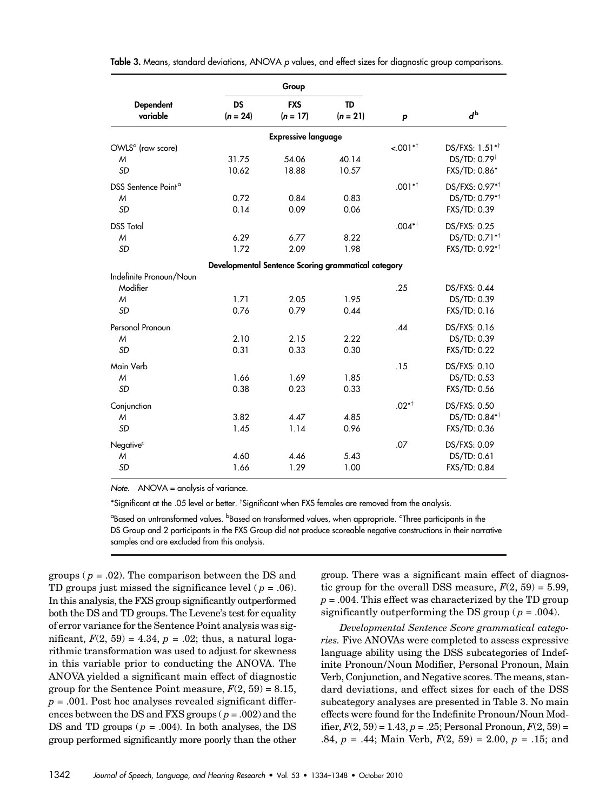|                                 |                                                     | Group                      |            |            |                            |
|---------------------------------|-----------------------------------------------------|----------------------------|------------|------------|----------------------------|
| Dependent                       | <b>DS</b>                                           | <b>FXS</b>                 | <b>TD</b>  |            |                            |
| variable                        | $(n = 24)$                                          | $(n = 17)$                 | $(n = 21)$ | p          | d <sub>b</sub>             |
|                                 |                                                     | <b>Expressive language</b> |            |            |                            |
| OWLS <sup>a</sup> (raw score)   |                                                     |                            |            | $< 0.01**$ | DS/FXS: 1.51* <sup>†</sup> |
| M                               | 31.75                                               | 54.06                      | 40.14      |            | DS/TD: 0.79 <sup>t</sup>   |
| <b>SD</b>                       | 10.62                                               | 18.88                      | 10.57      |            | FXS/TD: 0.86*              |
| DSS Sentence Point <sup>a</sup> |                                                     |                            |            | $.001**$   | DS/FXS: 0.97* <sup>†</sup> |
| M                               | 0.72                                                | 0.84                       | 0.83       |            | DS/TD: 0.79* <sup>†</sup>  |
| <b>SD</b>                       | 0.14                                                | 0.09                       | 0.06       |            | FXS/TD: 0.39               |
| <b>DSS Total</b>                |                                                     |                            |            | $.004**$   | DS/FXS: 0.25               |
| M                               | 6.29                                                | 6.77                       | 8.22       |            | DS/TD: 0.71*               |
| <b>SD</b>                       | 1.72                                                | 2.09                       | 1.98       |            | FXS/TD: 0.92* <sup>†</sup> |
|                                 | Developmental Sentence Scoring grammatical category |                            |            |            |                            |
| Indefinite Pronoun/Noun         |                                                     |                            |            |            |                            |
| Modifier                        |                                                     |                            |            | .25        | DS/FXS: 0.44               |
| M                               | 1.71                                                | 2.05                       | 1.95       |            | DS/TD: 0.39                |
| <b>SD</b>                       | 0.76                                                | 0.79                       | 0.44       |            | FXS/TD: 0.16               |
| Personal Pronoun                |                                                     |                            |            | .44        | DS/FXS: 0.16               |
| M                               | 2.10                                                | 2.15                       | 2.22       |            | DS/TD: 0.39                |
| <b>SD</b>                       | 0.31                                                | 0.33                       | 0.30       |            | FXS/TD: 0.22               |
| Main Verb                       |                                                     |                            |            | .15        | DS/FXS: 0.10               |
| M                               | 1.66                                                | 1.69                       | 1.85       |            | DS/TD: 0.53                |
| <b>SD</b>                       | 0.38                                                | 0.23                       | 0.33       |            | FXS/TD: 0.56               |
| Conjunction                     |                                                     |                            |            | $.02**$    | DS/FXS: 0.50               |
| M                               | 3.82                                                | 4.47                       | 4.85       |            | DS/TD: 0.84* <sup>†</sup>  |
| <b>SD</b>                       | 1.45                                                | 1.14                       | 0.96       |            | FXS/TD: 0.36               |
| Negative <sup>c</sup>           |                                                     |                            |            | .07        | DS/FXS: 0.09               |
| M                               | 4.60                                                | 4.46                       | 5.43       |            | DS/TD: 0.61                |
| SD                              | 1.66                                                | 1.29                       | 1.00       |            | FXS/TD: 0.84               |
|                                 |                                                     |                            |            |            |                            |

Table 3. Means, standard deviations, ANOVA p values, and effect sizes for diagnostic group comparisons.

Note. ANOVA = analysis of variance.

\*Significant at the .05 level or better. 'Significant when FXS females are removed from the analysis.

<sup>a</sup>Based on untransformed values. <sup>b</sup>Based on transformed values, when appropriate. <sup>c</sup>Three participants in the DS Group and 2 participants in the FXS Group did not produce scoreable negative constructions in their narrative samples and are excluded from this analysis.

groups ( $p = .02$ ). The comparison between the DS and TD groups just missed the significance level ( $p = .06$ ). In this analysis, the FXS group significantly outperformed both the DS and TD groups. The Levene's test for equality of error variance for the Sentence Point analysis was significant,  $F(2, 59) = 4.34$ ,  $p = .02$ ; thus, a natural logarithmic transformation was used to adjust for skewness in this variable prior to conducting the ANOVA. The ANOVA yielded a significant main effect of diagnostic group for the Sentence Point measure,  $F(2, 59) = 8.15$ ,  $p = .001$ . Post hoc analyses revealed significant differences between the DS and FXS groups ( $p = .002$ ) and the DS and TD groups ( $p = .004$ ). In both analyses, the DS group performed significantly more poorly than the other group. There was a significant main effect of diagnostic group for the overall DSS measure,  $F(2, 59) = 5.99$ ,  $p = 0.004$ . This effect was characterized by the TD group significantly outperforming the DS group ( $p = .004$ ).

Developmental Sentence Score grammatical categories. Five ANOVAs were completed to assess expressive language ability using the DSS subcategories of Indefinite Pronoun/Noun Modifier, Personal Pronoun, Main Verb, Conjunction, and Negative scores. The means, standard deviations, and effect sizes for each of the DSS subcategory analyses are presented in Table 3. No main effects were found for the Indefinite Pronoun/Noun Modifier,  $F(2, 59) = 1.43$ ,  $p = .25$ ; Personal Pronoun,  $F(2, 59) =$ .84,  $p = .44$ ; Main Verb,  $F(2, 59) = 2.00$ ,  $p = .15$ ; and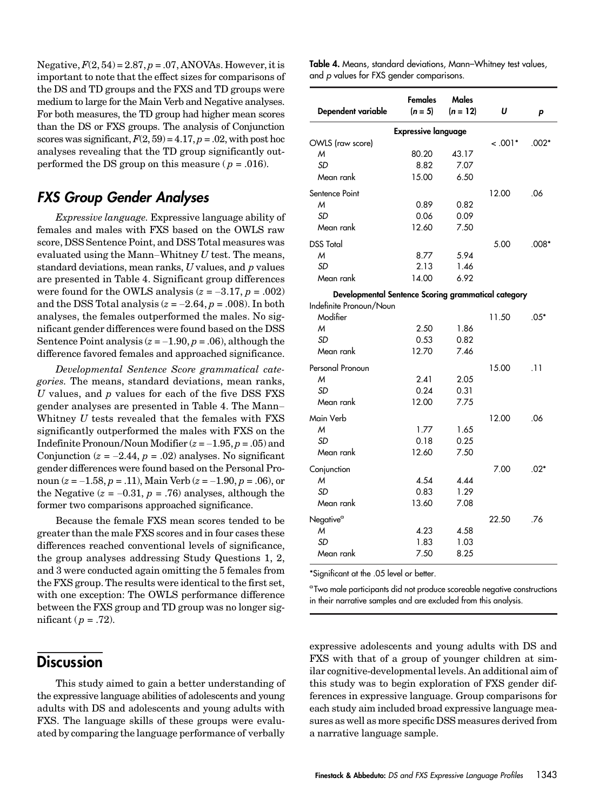Negative,  $F(2, 54) = 2.87$ ,  $p = .07$ , ANOVAs. However, it is important to note that the effect sizes for comparisons of the DS and TD groups and the FXS and TD groups were medium to large for the Main Verb and Negative analyses. For both measures, the TD group had higher mean scores than the DS or FXS groups. The analysis of Conjunction scores was significant,  $F(2, 59) = 4.17$ ,  $p = .02$ , with post hoc analyses revealing that the TD group significantly outperformed the DS group on this measure ( $p = .016$ ).

### FXS Group Gender Analyses

Expressive language. Expressive language ability of females and males with FXS based on the OWLS raw score, DSS Sentence Point, and DSS Total measures was evaluated using the Mann–Whitney  $U$  test. The means, standard deviations, mean ranks,  $U$  values, and  $p$  values are presented in Table 4. Significant group differences were found for the OWLS analysis  $(z = -3.17, p = .002)$ and the DSS Total analysis  $(z = -2.64, p = .008)$ . In both analyses, the females outperformed the males. No significant gender differences were found based on the DSS Sentence Point analysis  $(z = -1.90, p = .06)$ , although the difference favored females and approached significance.

Developmental Sentence Score grammatical categories. The means, standard deviations, mean ranks,  $U$  values, and  $p$  values for each of the five DSS FXS gender analyses are presented in Table 4. The Mann– Whitney U tests revealed that the females with FXS significantly outperformed the males with FXS on the Indefinite Pronoun/Noun Modifier  $(z = -1.95, p = .05)$  and Conjunction ( $z = -2.44$ ,  $p = .02$ ) analyses. No significant gender differences were found based on the Personal Pronoun (z =  $-1.58$ , p = .11), Main Verb (z =  $-1.90$ , p = .06), or the Negative ( $z = -0.31$ ,  $p = .76$ ) analyses, although the former two comparisons approached significance.

Because the female FXS mean scores tended to be greater than the male FXS scores and in four cases these differences reached conventional levels of significance, the group analyses addressing Study Questions 1, 2, and 3 were conducted again omitting the 5 females from the FXS group. The results were identical to the first set, with one exception: The OWLS performance difference between the FXS group and TD group was no longer significant ( $p = .72$ ).

# **Discussion**

This study aimed to gain a better understanding of the expressive language abilities of adolescents and young adults with DS and adolescents and young adults with FXS. The language skills of these groups were evaluated by comparing the language performance of verbally

Table 4. Means, standard deviations, Mann-Whitney test values, and p values for FXS gender comparisons.

| Dependent variable                                  | Females<br>$(n = 5)$ | Males<br>$(n = 12)$ | U       | p      |  |  |  |  |  |
|-----------------------------------------------------|----------------------|---------------------|---------|--------|--|--|--|--|--|
| <b>Expressive language</b>                          |                      |                     |         |        |  |  |  |  |  |
| OWLS (raw score)                                    |                      | $~<$ .001 $*$       | $.002*$ |        |  |  |  |  |  |
| м                                                   | 80.20                | 43.17               |         |        |  |  |  |  |  |
| <b>SD</b>                                           | 8.82                 | 7.07                |         |        |  |  |  |  |  |
| Mean rank                                           | 15.00                | 6.50                |         |        |  |  |  |  |  |
| Sentence Point                                      |                      |                     | 12.00   | .06    |  |  |  |  |  |
| M                                                   | 0.89                 | 0.82                |         |        |  |  |  |  |  |
| <b>SD</b>                                           | 0.06                 | 0.09                |         |        |  |  |  |  |  |
| Mean rank                                           | 12.60                | 7.50                |         |        |  |  |  |  |  |
| <b>DSS</b> Total                                    |                      |                     | 5.00    | :008*  |  |  |  |  |  |
| M                                                   | 8.77                 | 5.94                |         |        |  |  |  |  |  |
| <b>SD</b>                                           | 2.13                 | 1.46                |         |        |  |  |  |  |  |
| Mean rank                                           | 14.00                | 6.92                |         |        |  |  |  |  |  |
| Developmental Sentence Scoring grammatical category |                      |                     |         |        |  |  |  |  |  |
| Indefinite Pronoun/Noun                             |                      |                     |         |        |  |  |  |  |  |
| Modifier                                            |                      |                     | 11.50   | $.05*$ |  |  |  |  |  |
| M                                                   | 2.50                 | 1.86                |         |        |  |  |  |  |  |
| <b>SD</b>                                           | 0.53                 | 0.82                |         |        |  |  |  |  |  |
| Mean rank                                           | 12.70                | 7.46                |         |        |  |  |  |  |  |
| Personal Pronoun                                    |                      |                     | 15.00   | .11    |  |  |  |  |  |
| M                                                   | 2.41                 | 2.05                |         |        |  |  |  |  |  |
| SD                                                  | 0.24                 | 0.31                |         |        |  |  |  |  |  |
| Mean rank                                           | 12.00                | 7.75                |         |        |  |  |  |  |  |
| Main Verb                                           |                      |                     | 12.00   | .06    |  |  |  |  |  |
| M                                                   | 1.77                 | 1.65                |         |        |  |  |  |  |  |
| <b>SD</b>                                           | 0.18                 | 0.25                |         |        |  |  |  |  |  |
| Mean rank                                           | 12.60                | 7.50                |         |        |  |  |  |  |  |
| Conjunction                                         |                      |                     | 7.00    | $.02*$ |  |  |  |  |  |
| M                                                   | 4.54                 | 4.44                |         |        |  |  |  |  |  |
| <b>SD</b>                                           | 0.83                 | 1.29                |         |        |  |  |  |  |  |
| Mean rank                                           | 13.60                | 7.08                |         |        |  |  |  |  |  |
| Negative <sup>a</sup>                               |                      |                     | 22.50   | .76    |  |  |  |  |  |
| M                                                   | 4.23                 | 4.58                |         |        |  |  |  |  |  |
| <b>SD</b>                                           | 1.83                 | 1.03                |         |        |  |  |  |  |  |
| Mean rank                                           | 7.50                 | 8.25                |         |        |  |  |  |  |  |
|                                                     |                      |                     |         |        |  |  |  |  |  |

\*Significant at the .05 level or better.

<sup>a</sup> Two male participants did not produce scoreable negative constructions in their narrative samples and are excluded from this analysis.

expressive adolescents and young adults with DS and FXS with that of a group of younger children at similar cognitive-developmental levels. An additional aim of this study was to begin exploration of FXS gender differences in expressive language. Group comparisons for each study aim included broad expressive language measures as well as more specific DSS measures derived from a narrative language sample.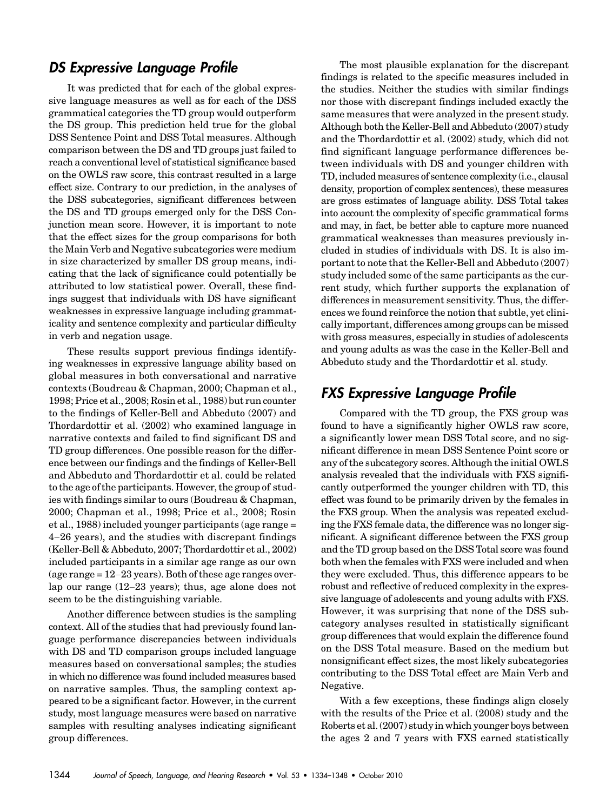# DS Expressive Language Profile

It was predicted that for each of the global expressive language measures as well as for each of the DSS grammatical categories the TD group would outperform the DS group. This prediction held true for the global DSS Sentence Point and DSS Total measures. Although comparison between the DS and TD groups just failed to reach a conventional level of statistical significance based on the OWLS raw score, this contrast resulted in a large effect size. Contrary to our prediction, in the analyses of the DSS subcategories, significant differences between the DS and TD groups emerged only for the DSS Conjunction mean score. However, it is important to note that the effect sizes for the group comparisons for both the Main Verb and Negative subcategories were medium in size characterized by smaller DS group means, indicating that the lack of significance could potentially be attributed to low statistical power. Overall, these findings suggest that individuals with DS have significant weaknesses in expressive language including grammaticality and sentence complexity and particular difficulty in verb and negation usage.

These results support previous findings identifying weaknesses in expressive language ability based on global measures in both conversational and narrative contexts (Boudreau & Chapman, 2000; Chapman et al., 1998; Price et al., 2008; Rosin et al., 1988) but run counter to the findings of Keller-Bell and Abbeduto (2007) and Thordardottir et al. (2002) who examined language in narrative contexts and failed to find significant DS and TD group differences. One possible reason for the difference between our findings and the findings of Keller-Bell and Abbeduto and Thordardottir et al. could be related to the age of the participants. However, the group of studies with findings similar to ours (Boudreau & Chapman, 2000; Chapman et al., 1998; Price et al., 2008; Rosin et al., 1988) included younger participants (age range = 4–26 years), and the studies with discrepant findings (Keller-Bell & Abbeduto, 2007; Thordardottir et al., 2002) included participants in a similar age range as our own (age range  $= 12-23$  years). Both of these age ranges overlap our range (12–23 years); thus, age alone does not seem to be the distinguishing variable.

Another difference between studies is the sampling context. All of the studies that had previously found language performance discrepancies between individuals with DS and TD comparison groups included language measures based on conversational samples; the studies in which no difference was found included measures based on narrative samples. Thus, the sampling context appeared to be a significant factor. However, in the current study, most language measures were based on narrative samples with resulting analyses indicating significant group differences.

The most plausible explanation for the discrepant findings is related to the specific measures included in the studies. Neither the studies with similar findings nor those with discrepant findings included exactly the same measures that were analyzed in the present study. Although both the Keller-Bell and Abbeduto (2007) study and the Thordardottir et al. (2002) study, which did not find significant language performance differences between individuals with DS and younger children with TD, included measures of sentence complexity (i.e., clausal density, proportion of complex sentences), these measures are gross estimates of language ability. DSS Total takes into account the complexity of specific grammatical forms and may, in fact, be better able to capture more nuanced grammatical weaknesses than measures previously included in studies of individuals with DS. It is also important to note that the Keller-Bell and Abbeduto (2007) study included some of the same participants as the current study, which further supports the explanation of differences in measurement sensitivity. Thus, the differences we found reinforce the notion that subtle, yet clinically important, differences among groups can be missed with gross measures, especially in studies of adolescents and young adults as was the case in the Keller-Bell and Abbeduto study and the Thordardottir et al. study.

# FXS Expressive Language Profile

Compared with the TD group, the FXS group was found to have a significantly higher OWLS raw score, a significantly lower mean DSS Total score, and no significant difference in mean DSS Sentence Point score or any of the subcategory scores. Although the initial OWLS analysis revealed that the individuals with FXS significantly outperformed the younger children with TD, this effect was found to be primarily driven by the females in the FXS group. When the analysis was repeated excluding the FXS female data, the difference was no longer significant. A significant difference between the FXS group and the TD group based on the DSS Total score was found both when the females with FXS were included and when they were excluded. Thus, this difference appears to be robust and reflective of reduced complexity in the expressive language of adolescents and young adults with FXS. However, it was surprising that none of the DSS subcategory analyses resulted in statistically significant group differences that would explain the difference found on the DSS Total measure. Based on the medium but nonsignificant effect sizes, the most likely subcategories contributing to the DSS Total effect are Main Verb and Negative.

With a few exceptions, these findings align closely with the results of the Price et al. (2008) study and the Roberts et al. (2007) study in which younger boys between the ages 2 and 7 years with FXS earned statistically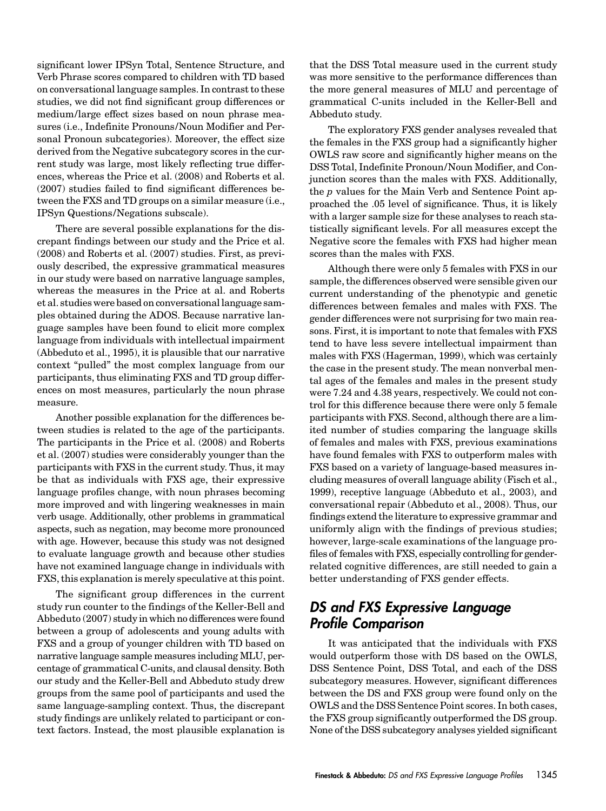significant lower IPSyn Total, Sentence Structure, and Verb Phrase scores compared to children with TD based on conversational language samples. In contrast to these studies, we did not find significant group differences or medium/large effect sizes based on noun phrase measures (i.e., Indefinite Pronouns/Noun Modifier and Personal Pronoun subcategories). Moreover, the effect size derived from the Negative subcategory scores in the current study was large, most likely reflecting true differences, whereas the Price et al. (2008) and Roberts et al. (2007) studies failed to find significant differences between the FXS and TD groups on a similar measure (i.e., IPSyn Questions/Negations subscale).

There are several possible explanations for the discrepant findings between our study and the Price et al. (2008) and Roberts et al. (2007) studies. First, as previously described, the expressive grammatical measures in our study were based on narrative language samples, whereas the measures in the Price at al. and Roberts et al. studies were based on conversational language samples obtained during the ADOS. Because narrative language samples have been found to elicit more complex language from individuals with intellectual impairment (Abbeduto et al., 1995), it is plausible that our narrative context "pulled" the most complex language from our participants, thus eliminating FXS and TD group differences on most measures, particularly the noun phrase measure.

Another possible explanation for the differences between studies is related to the age of the participants. The participants in the Price et al. (2008) and Roberts et al. (2007) studies were considerably younger than the participants with FXS in the current study. Thus, it may be that as individuals with FXS age, their expressive language profiles change, with noun phrases becoming more improved and with lingering weaknesses in main verb usage. Additionally, other problems in grammatical aspects, such as negation, may become more pronounced with age. However, because this study was not designed to evaluate language growth and because other studies have not examined language change in individuals with FXS, this explanation is merely speculative at this point.

The significant group differences in the current study run counter to the findings of the Keller-Bell and Abbeduto (2007) study in which no differences were found between a group of adolescents and young adults with FXS and a group of younger children with TD based on narrative language sample measures including MLU, percentage of grammatical C-units, and clausal density. Both our study and the Keller-Bell and Abbeduto study drew groups from the same pool of participants and used the same language-sampling context. Thus, the discrepant study findings are unlikely related to participant or context factors. Instead, the most plausible explanation is

that the DSS Total measure used in the current study was more sensitive to the performance differences than the more general measures of MLU and percentage of grammatical C-units included in the Keller-Bell and Abbeduto study.

The exploratory FXS gender analyses revealed that the females in the FXS group had a significantly higher OWLS raw score and significantly higher means on the DSS Total, Indefinite Pronoun/Noun Modifier, and Conjunction scores than the males with FXS. Additionally, the p values for the Main Verb and Sentence Point approached the .05 level of significance. Thus, it is likely with a larger sample size for these analyses to reach statistically significant levels. For all measures except the Negative score the females with FXS had higher mean scores than the males with FXS.

Although there were only 5 females with FXS in our sample, the differences observed were sensible given our current understanding of the phenotypic and genetic differences between females and males with FXS. The gender differences were not surprising for two main reasons. First, it is important to note that females with FXS tend to have less severe intellectual impairment than males with FXS (Hagerman, 1999), which was certainly the case in the present study. The mean nonverbal mental ages of the females and males in the present study were 7.24 and 4.38 years, respectively. We could not control for this difference because there were only 5 female participants with FXS. Second, although there are a limited number of studies comparing the language skills of females and males with FXS, previous examinations have found females with FXS to outperform males with FXS based on a variety of language-based measures including measures of overall language ability (Fisch et al., 1999), receptive language (Abbeduto et al., 2003), and conversational repair (Abbeduto et al., 2008). Thus, our findings extend the literature to expressive grammar and uniformly align with the findings of previous studies; however, large-scale examinations of the language profiles of females with FXS, especially controlling for genderrelated cognitive differences, are still needed to gain a better understanding of FXS gender effects.

# DS and FXS Expressive Language Profile Comparison

It was anticipated that the individuals with FXS would outperform those with DS based on the OWLS, DSS Sentence Point, DSS Total, and each of the DSS subcategory measures. However, significant differences between the DS and FXS group were found only on the OWLS and the DSS Sentence Point scores. In both cases, the FXS group significantly outperformed the DS group. None of the DSS subcategory analyses yielded significant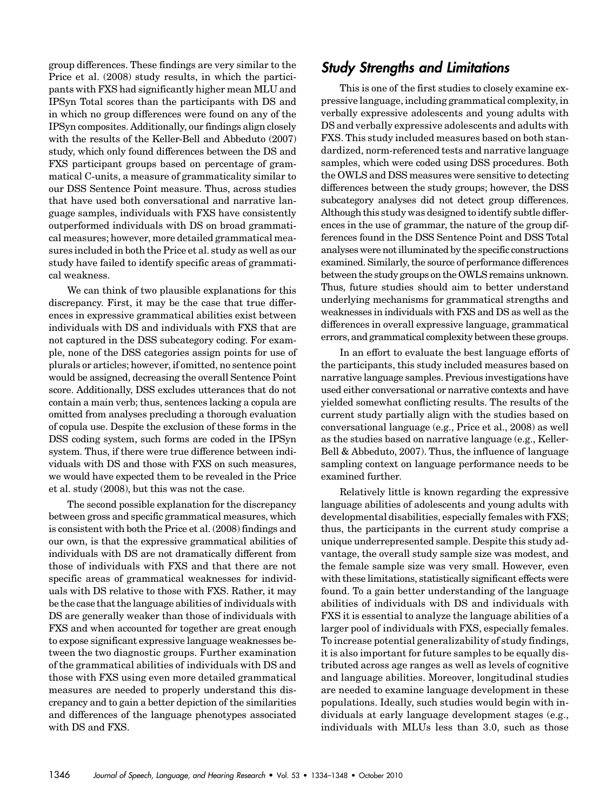group differences. These findings are very similar to the Price et al. (2008) study results, in which the participants with FXS had significantly higher mean MLU and IPSyn Total scores than the participants with DS and in which no group differences were found on any of the IPSyn composites. Additionally, our findings align closely with the results of the Keller-Bell and Abbeduto (2007) study, which only found differences between the DS and FXS participant groups based on percentage of grammatical C-units, a measure of grammaticality similar to our DSS Sentence Point measure. Thus, across studies that have used both conversational and narrative language samples, individuals with FXS have consistently outperformed individuals with DS on broad grammatical measures; however, more detailed grammatical measures included in both the Price et al. study as well as our study have failed to identify specific areas of grammatical weakness.

We can think of two plausible explanations for this discrepancy. First, it may be the case that true differences in expressive grammatical abilities exist between individuals with DS and individuals with FXS that are not captured in the DSS subcategory coding. For example, none of the DSS categories assign points for use of plurals or articles; however, if omitted, no sentence point would be assigned, decreasing the overall Sentence Point score. Additionally, DSS excludes utterances that do not contain a main verb; thus, sentences lacking a copula are omitted from analyses precluding a thorough evaluation of copula use. Despite the exclusion of these forms in the DSS coding system, such forms are coded in the IPSyn system. Thus, if there were true difference between individuals with DS and those with FXS on such measures, we would have expected them to be revealed in the Price et al. study (2008), but this was not the case.

The second possible explanation for the discrepancy between gross and specific grammatical measures, which is consistent with both the Price et al. (2008) findings and our own, is that the expressive grammatical abilities of individuals with DS are not dramatically different from those of individuals with FXS and that there are not specific areas of grammatical weaknesses for individuals with DS relative to those with FXS. Rather, it may be the case that the language abilities of individuals with DS are generally weaker than those of individuals with FXS and when accounted for together are great enough to expose significant expressive language weaknesses between the two diagnostic groups. Further examination of the grammatical abilities of individuals with DS and those with FXS using even more detailed grammatical measures are needed to properly understand this discrepancy and to gain a better depiction of the similarities and differences of the language phenotypes associated with DS and FXS.

# Study Strengths and Limitations

This is one of the first studies to closely examine expressive language, including grammatical complexity, in verbally expressive adolescents and young adults with DS and verbally expressive adolescents and adults with FXS. This study included measures based on both standardized, norm-referenced tests and narrative language samples, which were coded using DSS procedures. Both the OWLS and DSS measures were sensitive to detecting differences between the study groups; however, the DSS subcategory analyses did not detect group differences. Although this study was designed to identify subtle differences in the use of grammar, the nature of the group differences found in the DSS Sentence Point and DSS Total analyses were not illuminated by the specific constructions examined. Similarly, the source of performance differences between the study groups on the OWLS remains unknown. Thus, future studies should aim to better understand underlying mechanisms for grammatical strengths and weaknesses in individuals with FXS and DS as well as the differences in overall expressive language, grammatical errors, and grammatical complexity between these groups.

In an effort to evaluate the best language efforts of the participants, this study included measures based on narrative language samples. Previous investigations have used either conversational or narrative contexts and have yielded somewhat conflicting results. The results of the current study partially align with the studies based on conversational language (e.g., Price et al., 2008) as well as the studies based on narrative language (e.g., Keller-Bell & Abbeduto, 2007). Thus, the influence of language sampling context on language performance needs to be examined further.

Relatively little is known regarding the expressive language abilities of adolescents and young adults with developmental disabilities, especially females with FXS; thus, the participants in the current study comprise a unique underrepresented sample. Despite this study advantage, the overall study sample size was modest, and the female sample size was very small. However, even with these limitations, statistically significant effects were found. To a gain better understanding of the language abilities of individuals with DS and individuals with FXS it is essential to analyze the language abilities of a larger pool of individuals with FXS, especially females. To increase potential generalizability of study findings, it is also important for future samples to be equally distributed across age ranges as well as levels of cognitive and language abilities. Moreover, longitudinal studies are needed to examine language development in these populations. Ideally, such studies would begin with individuals at early language development stages (e.g., individuals with MLUs less than 3.0, such as those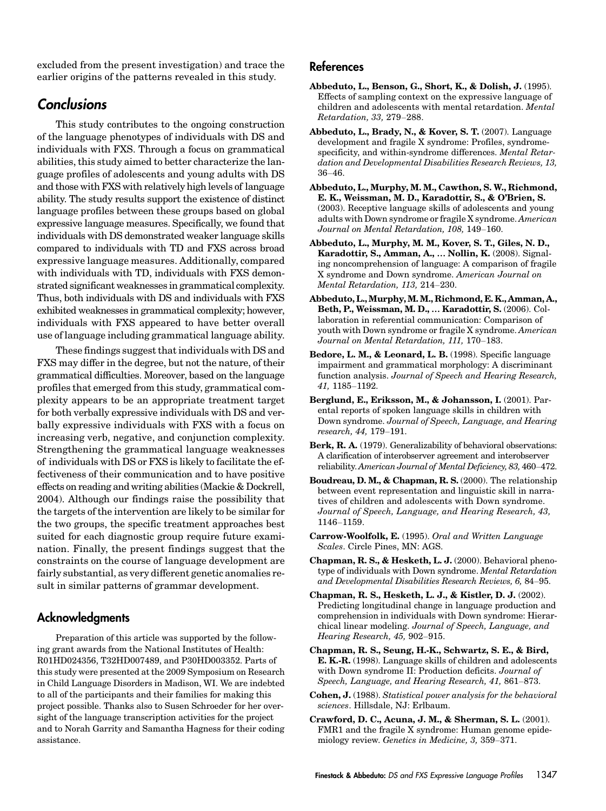excluded from the present investigation) and trace the earlier origins of the patterns revealed in this study.

## **Conclusions**

This study contributes to the ongoing construction of the language phenotypes of individuals with DS and individuals with FXS. Through a focus on grammatical abilities, this study aimed to better characterize the language profiles of adolescents and young adults with DS and those with FXS with relatively high levels of language ability. The study results support the existence of distinct language profiles between these groups based on global expressive language measures. Specifically, we found that individuals with DS demonstrated weaker language skills compared to individuals with TD and FXS across broad expressive language measures. Additionally, compared with individuals with TD, individuals with FXS demonstrated significant weaknesses in grammatical complexity. Thus, both individuals with DS and individuals with FXS exhibited weaknesses in grammatical complexity; however, individuals with FXS appeared to have better overall use of language including grammatical language ability.

These findings suggest that individuals with DS and FXS may differ in the degree, but not the nature, of their grammatical difficulties. Moreover, based on the language profiles that emerged from this study, grammatical complexity appears to be an appropriate treatment target for both verbally expressive individuals with DS and verbally expressive individuals with FXS with a focus on increasing verb, negative, and conjunction complexity. Strengthening the grammatical language weaknesses of individuals with DS or FXS is likely to facilitate the effectiveness of their communication and to have positive effects on reading and writing abilities (Mackie & Dockrell, 2004). Although our findings raise the possibility that the targets of the intervention are likely to be similar for the two groups, the specific treatment approaches best suited for each diagnostic group require future examination. Finally, the present findings suggest that the constraints on the course of language development are fairly substantial, as very different genetic anomalies result in similar patterns of grammar development.

#### Acknowledgments

Preparation of this article was supported by the following grant awards from the National Institutes of Health: R01HD024356, T32HD007489, and P30HD003352. Parts of this study were presented at the 2009 Symposium on Research in Child Language Disorders in Madison, WI. We are indebted to all of the participants and their families for making this project possible. Thanks also to Susen Schroeder for her oversight of the language transcription activities for the project and to Norah Garrity and Samantha Hagness for their coding assistance.

#### References

- Abbeduto, L., Benson, G., Short, K., & Dolish, J. (1995). Effects of sampling context on the expressive language of children and adolescents with mental retardation. Mental Retardation, 33, 279–288.
- Abbeduto, L., Brady, N., & Kover, S. T. (2007). Language development and fragile X syndrome: Profiles, syndromespecificity, and within-syndrome differences. Mental Retardation and Developmental Disabilities Research Reviews, 13, 36–46.
- Abbeduto, L., Murphy, M. M., Cawthon, S. W., Richmond, E. K., Weissman, M. D., Karadottir, S., & O'Brien, S. (2003). Receptive language skills of adolescents and young adults with Down syndrome or fragile X syndrome. American Journal on Mental Retardation, 108, 149–160.
- Abbeduto, L., Murphy, M. M., Kover, S. T., Giles, N. D., Karadottir, S., Amman, A., … Nollin, K. (2008). Signaling noncomprehension of language: A comparison of fragile X syndrome and Down syndrome. American Journal on Mental Retardation, 113, 214–230.
- Abbeduto, L., Murphy, M. M., Richmond, E. K., Amman, A., Beth, P., Weissman, M. D., … Karadottir, S. (2006). Collaboration in referential communication: Comparison of youth with Down syndrome or fragile X syndrome. American Journal on Mental Retardation, 111, 170–183.
- Bedore, L. M., & Leonard, L. B. (1998). Specific language impairment and grammatical morphology: A discriminant function analysis. Journal of Speech and Hearing Research, 41, 1185–1192.
- Berglund, E., Eriksson, M., & Johansson, I. (2001). Parental reports of spoken language skills in children with Down syndrome. Journal of Speech, Language, and Hearing research, 44, 179–191.
- Berk, R. A. (1979). Generalizability of behavioral observations: A clarification of interobserver agreement and interobserver reliability.American Journal of Mental Deficiency, 83, 460–472.
- Boudreau, D. M., & Chapman, R. S. (2000). The relationship between event representation and linguistic skill in narratives of children and adolescents with Down syndrome. Journal of Speech, Language, and Hearing Research, 43, 1146–1159.
- Carrow-Woolfolk, E. (1995). Oral and Written Language Scales. Circle Pines, MN: AGS.
- Chapman, R. S., & Hesketh, L. J. (2000). Behavioral phenotype of individuals with Down syndrome. Mental Retardation and Developmental Disabilities Research Reviews, 6, 84–95.
- Chapman, R. S., Hesketh, L. J., & Kistler, D. J. (2002). Predicting longitudinal change in language production and comprehension in individuals with Down syndrome: Hierarchical linear modeling. Journal of Speech, Language, and Hearing Research, 45, 902–915.
- Chapman, R. S., Seung, H.-K., Schwartz, S. E., & Bird, E. K.-R. (1998). Language skills of children and adolescents with Down syndrome II: Production deficits. Journal of Speech, Language, and Hearing Research, 41, 861–873.
- Cohen, J. (1988). Statistical power analysis for the behavioral sciences. Hillsdale, NJ: Erlbaum.
- Crawford, D. C., Acuna, J. M., & Sherman, S. L. (2001). FMR1 and the fragile X syndrome: Human genome epidemiology review. Genetics in Medicine, 3, 359–371.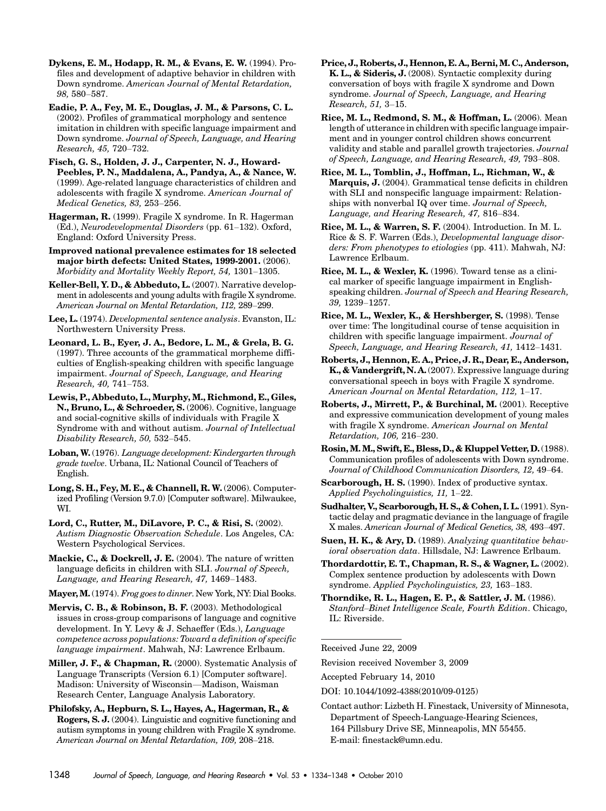Dykens, E. M., Hodapp, R. M., & Evans, E. W. (1994). Profiles and development of adaptive behavior in children with Down syndrome. American Journal of Mental Retardation, 98, 580–587.

Eadie, P. A., Fey, M. E., Douglas, J. M., & Parsons, C. L. (2002). Profiles of grammatical morphology and sentence imitation in children with specific language impairment and Down syndrome. Journal of Speech, Language, and Hearing Research, 45, 720–732.

Fisch, G. S., Holden, J. J., Carpenter, N. J., Howard-Peebles, P. N., Maddalena, A., Pandya, A., & Nance, W. (1999). Age-related language characteristics of children and adolescents with fragile X syndrome. American Journal of Medical Genetics, 83, 253–256.

Hagerman, R. (1999). Fragile X syndrome. In R. Hagerman (Ed.), Neurodevelopmental Disorders (pp. 61–132). Oxford, England: Oxford University Press.

Improved national prevalence estimates for 18 selected major birth defects: United States, 1999-2001. (2006). Morbidity and Mortality Weekly Report, 54, 1301–1305.

Keller-Bell, Y. D., & Abbeduto, L. (2007). Narrative development in adolescents and young adults with fragile X syndrome. American Journal on Mental Retardation, 112, 289–299.

Lee, L. (1974). Developmental sentence analysis. Evanston, IL: Northwestern University Press.

Leonard, L. B., Eyer, J. A., Bedore, L. M., & Grela, B. G. (1997). Three accounts of the grammatical morpheme difficulties of English-speaking children with specific language impairment. Journal of Speech, Language, and Hearing Research, 40, 741–753.

Lewis, P., Abbeduto, L., Murphy, M., Richmond, E., Giles, N., Bruno, L., & Schroeder, S. (2006). Cognitive, language and social-cognitive skills of individuals with Fragile X Syndrome with and without autism. Journal of Intellectual Disability Research, 50, 532–545.

Loban, W. (1976). Language development: Kindergarten through grade twelve. Urbana, IL: National Council of Teachers of English.

Long, S. H., Fey, M. E., & Channell, R. W. (2006). Computerized Profiling (Version 9.7.0) [Computer software]. Milwaukee, WI.

Lord, C., Rutter, M., DiLavore, P. C., & Risi, S. (2002). Autism Diagnostic Observation Schedule. Los Angeles, CA: Western Psychological Services.

Mackie, C., & Dockrell, J. E. (2004). The nature of written language deficits in children with SLI. Journal of Speech, Language, and Hearing Research, 47, 1469–1483.

Mayer, M. (1974). Frog goes to dinner. New York, NY: Dial Books.

Mervis, C. B., & Robinson, B. F. (2003). Methodological issues in cross-group comparisons of language and cognitive development. In Y. Levy & J. Schaeffer (Eds.), Language competence across populations: Toward a definition of specific language impairment. Mahwah, NJ: Lawrence Erlbaum.

Miller, J. F., & Chapman, R. (2000). Systematic Analysis of Language Transcripts (Version 6.1) [Computer software]. Madison: University of Wisconsin—Madison, Waisman Research Center, Language Analysis Laboratory.

Philofsky, A., Hepburn, S. L., Hayes, A., Hagerman, R., & Rogers, S. J. (2004). Linguistic and cognitive functioning and autism symptoms in young children with Fragile X syndrome. American Journal on Mental Retardation, 109, 208–218.

Price, J., Roberts, J., Hennon, E. A., Berni, M. C., Anderson, K. L., & Sideris, J. (2008). Syntactic complexity during conversation of boys with fragile X syndrome and Down syndrome. Journal of Speech, Language, and Hearing Research, 51, 3–15.

Rice, M. L., Redmond, S. M., & Hoffman, L. (2006). Mean length of utterance in children with specific language impairment and in younger control children shows concurrent validity and stable and parallel growth trajectories. Journal of Speech, Language, and Hearing Research, 49, 793–808.

Rice, M. L., Tomblin, J., Hoffman, L., Richman, W., & Marquis, J. (2004). Grammatical tense deficits in children with SLI and nonspecific language impairment: Relationships with nonverbal IQ over time. Journal of Speech, Language, and Hearing Research, 47, 816–834.

Rice, M. L., & Warren, S. F. (2004). Introduction. In M. L. Rice & S. F. Warren (Eds.), Developmental language disorders: From phenotypes to etiologies (pp. 411). Mahwah, NJ: Lawrence Erlbaum.

Rice, M. L., & Wexler, K. (1996). Toward tense as a clinical marker of specific language impairment in Englishspeaking children. Journal of Speech and Hearing Research, 39, 1239–1257.

Rice, M. L., Wexler, K., & Hershberger, S. (1998). Tense over time: The longitudinal course of tense acquisition in children with specific language impairment. Journal of Speech, Language, and Hearing Research, 41, 1412–1431.

Roberts, J., Hennon, E. A., Price, J. R., Dear, E., Anderson, K., & Vandergrift, N. A. (2007). Expressive language during conversational speech in boys with Fragile X syndrome. American Journal on Mental Retardation, 112, 1–17.

Roberts, J., Mirrett, P., & Burchinal, M. (2001). Receptive and expressive communication development of young males with fragile X syndrome. American Journal on Mental Retardation, 106, 216–230.

Rosin, M. M., Swift, E., Bless, D., & Kluppel Vetter, D. (1988). Communication profiles of adolescents with Down syndrome. Journal of Childhood Communication Disorders, 12, 49–64.

Scarborough, H. S. (1990). Index of productive syntax. Applied Psycholinguistics, 11, 1–22.

Sudhalter, V., Scarborough, H. S., & Cohen, I. L. (1991). Syntactic delay and pragmatic deviance in the language of fragile X males. American Journal of Medical Genetics, 38, 493–497.

Suen, H. K., & Ary, D. (1989). Analyzing quantitative behavioral observation data. Hillsdale, NJ: Lawrence Erlbaum.

Thordardottir, E. T., Chapman, R. S., & Wagner, L. (2002). Complex sentence production by adolescents with Down syndrome. Applied Psycholinguistics, 23, 163–183.

Thorndike, R. L., Hagen, E. P., & Sattler, J. M. (1986). Stanford–Binet Intelligence Scale, Fourth Edition. Chicago, IL: Riverside.

Received June 22, 2009

Revision received November 3, 2009

Accepted February 14, 2010

DOI: 10.1044/1092-4388(2010/09-0125)

Contact author: Lizbeth H. Finestack, University of Minnesota, Department of Speech-Language-Hearing Sciences, 164 Pillsbury Drive SE, Minneapolis, MN 55455. E-mail: finestack@umn.edu.